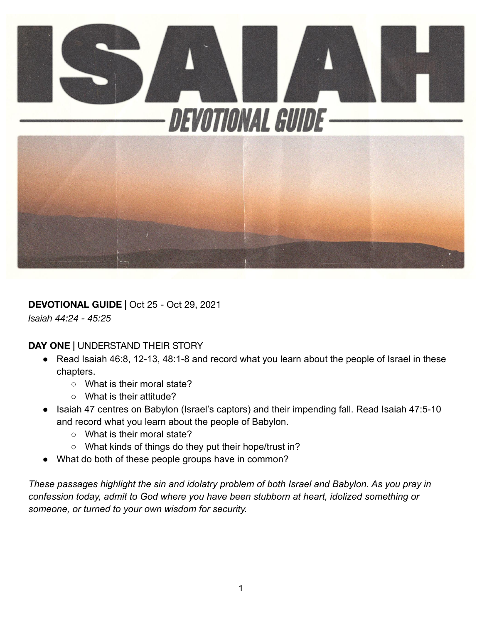

**DEVOTIONAL GUIDE |** Oct 25 - Oct 29, 2021

*Isaiah 44:24 - 45:25*

**DAY ONE |** UNDERSTAND THEIR STORY

- Read Isaiah 46:8, 12-13, 48:1-8 and record what you learn about the people of Israel in these chapters.
	- What is their moral state?
	- What is their attitude?
- Isaiah 47 centres on Babylon (Israel's captors) and their impending fall. Read Isaiah 47:5-10 and record what you learn about the people of Babylon.
	- What is their moral state?
	- What kinds of things do they put their hope/trust in?
- What do both of these people groups have in common?

*These passages highlight the sin and idolatry problem of both Israel and Babylon. As you pray in confession today, admit to God where you have been stubborn at heart, idolized something or someone, or turned to your own wisdom for security.*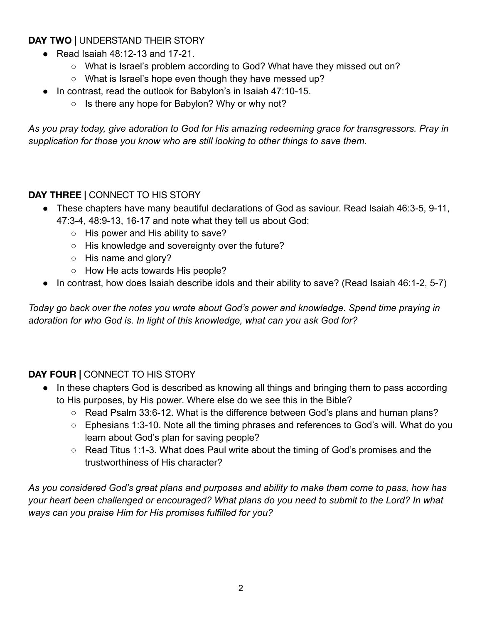## **DAY TWO |** UNDERSTAND THEIR STORY

- $\bullet$  Read Isaiah 48:12-13 and 17-21.
	- What is Israel's problem according to God? What have they missed out on?
	- What is Israel's hope even though they have messed up?
- In contrast, read the outlook for Babylon's in Isaiah 47:10-15.
	- Is there any hope for Babylon? Why or why not?

*As you pray today, give adoration to God for His amazing redeeming grace for transgressors. Pray in supplication for those you know who are still looking to other things to save them.*

## **DAY THREE |** CONNECT TO HIS STORY

- These chapters have many beautiful declarations of God as saviour. Read Isaiah 46:3-5, 9-11, 47:3-4, 48:9-13, 16-17 and note what they tell us about God:
	- His power and His ability to save?
	- His knowledge and sovereignty over the future?
	- His name and glory?
	- How He acts towards His people?
- In contrast, how does Isaiah describe idols and their ability to save? (Read Isaiah 46:1-2, 5-7)

*Today go back over the notes you wrote about God's power and knowledge. Spend time praying in adoration for who God is. In light of this knowledge, what can you ask God for?*

## **DAY FOUR |** CONNECT TO HIS STORY

- In these chapters God is described as knowing all things and bringing them to pass according to His purposes, by His power. Where else do we see this in the Bible?
	- Read Psalm 33:6-12. What is the difference between God's plans and human plans?
	- Ephesians 1:3-10. Note all the timing phrases and references to God's will. What do you learn about God's plan for saving people?
	- Read Titus 1:1-3. What does Paul write about the timing of God's promises and the trustworthiness of His character?

*As you considered God's great plans and purposes and ability to make them come to pass, how has your heart been challenged or encouraged? What plans do you need to submit to the Lord? In what ways can you praise Him for His promises fulfilled for you?*